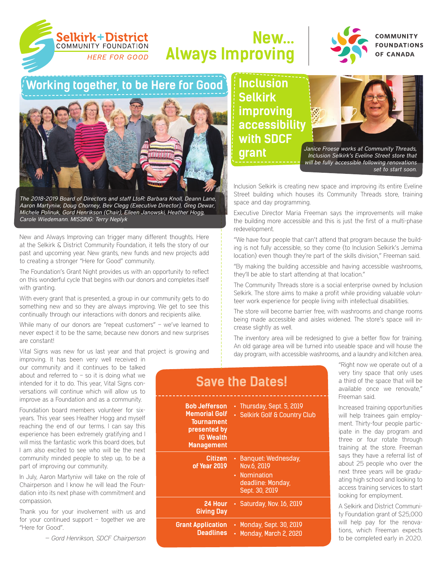

# **New… Always Improving**



**COMMUNITY FOUNDATIONS OF CANADA** 

## **Working together, to be Here for Good**



*The 2018-2019 Board of Directors and staff LtoR: Barbara Knoll, Deann Lane, Aaron Martyniw, Doug Chorney, Bev Clegg (Executive Director), Greg Dewar, Michele Polinuk, Gord Henrikson (Chair), Eileen Janowski, Heather Hogg, Carole Wiedemann. MISSING: Terry Neplyk*

New and Always Improving can trigger many different thoughts. Here at the Selkirk & District Community Foundation, it tells the story of our past and upcoming year. New grants, new funds and new projects add to creating a stronger "Here for Good" community.

The Foundation's Grant Night provides us with an opportunity to reflect on this wonderful cycle that begins with our donors and completes itself with granting.

With every grant that is presented, a group in our community gets to do something new and so they are always improving. We get to see this continually through our interactions with donors and recipients alike.

While many of our donors are "repeat customers" – we've learned to never expect it to be the same, because new donors and new surprises are constant!

Vital Signs was new for us last year and that project is growing and

improving. It has been very well received in our community and it continues to be talked about and referred to  $-$  so it is doing what we intended for it to do. This year, Vital Signs conversations will continue which will allow us to improve as a Foundation and as a community.

Foundation board members volunteer for sixyears. This year sees Heather Hogg and myself reaching the end of our terms. I can say this experience has been extremely gratifying and I will miss the fantastic work this board does, but I am also excited to see who will be the next community minded people to step up, to be a part of improving our community.

In July, Aaron Martyniw will take on the role of Chairperson and I know he will lead the Foundation into its next phase with commitment and compassion.

Thank you for your involvement with us and for your continued support – together we are "Here for Good".

*— Gord Henrikson, SDCF Chairperson*

**Inclusion Selkirk improving accessibility with SDCF** 





*Janice Froese works at Community Threads, Inclusion Selkirk's Eveline Street store that will be fully accessible following renovations set to start soon.*

Inclusion Selkirk is creating new space and improving its entire Eveline Street building which houses its Community Threads store, training space and day programming.

Executive Director Maria Freeman says the improvements will make the building more accessible and this is just the first of a multi-phase redevelopment.

"We have four people that can't attend that program because the building is not fully accessible, so they come (to Inclusion Selkirk's Jemima location) even though they're part of the skills division," Freeman said.

"By making the building accessible and having accessible washrooms, they'll be able to start attending at that location."

The Community Threads store is a social enterprise owned by Inclusion Selkirk. The store aims to make a profit while providing valuable volunteer work experience for people living with intellectual disabilities.

The store will become barrier free, with washrooms and change rooms being made accessible and aisles widened. The store's space will increase slightly as well.

The inventory area will be redesigned to give a better flow for training. An old garage area will be turned into useable space and will house the day program, with accessible washrooms, and a laundry and kitchen area.

| <b>Save the Dates!</b>                                                                                                     |                                                                                             |  |  |  |  |
|----------------------------------------------------------------------------------------------------------------------------|---------------------------------------------------------------------------------------------|--|--|--|--|
| <b>Bob Jefferson</b><br><b>Memorial Golf</b><br><b>Tournament</b><br>presented by<br><b>IG Wealth</b><br><b>Management</b> | • Thursday, Sept. 5, 2019<br>· Selkirk Golf & Country Club                                  |  |  |  |  |
| Citizen<br>of Year 2019                                                                                                    | • Banquet: Wednesday,<br>Nov.6, 2019<br>• Nomination<br>deadline: Monday,<br>Sept. 30, 2019 |  |  |  |  |
| 24 Hour<br><b>Giving Day</b>                                                                                               | · Saturday, Nov. 16, 2019                                                                   |  |  |  |  |
| <b>Grant Application</b><br><b>Deadlines</b>                                                                               | • Monday, Sept. 30, 2019<br>Monday, March 2, 2020                                           |  |  |  |  |

"Right now we operate out of a very tiny space that only uses a third of the space that will be available once we renovate," Freeman said.

Increased training opportunities will help trainees gain employment. Thirty-four people participate in the day program and three or four rotate through training at the store. Freeman says they have a referral list of about 25 people who over the next three years will be graduating high school and looking to access training services to start looking for employment.

A Selkirk and District Community Foundation grant of \$25,000 will help pay for the renovations, which Freeman expects to be completed early in 2020.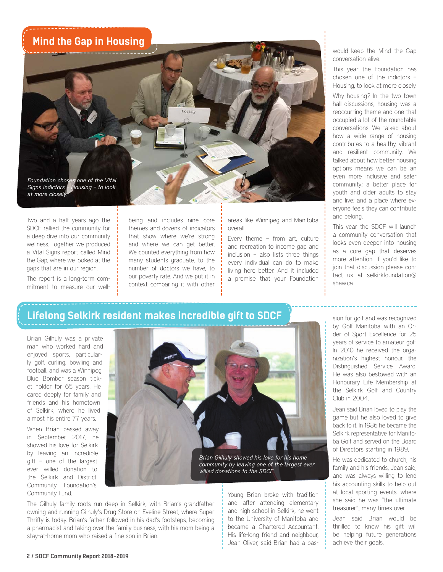### **Mind the Gap in Housing**

*Foundation choses one of the Vital Signs indictors – Housing – to look at more closely.*

Two and a half years ago the SDCF rallied the community for a deep dive into our community wellness. Together we produced a Vital Signs report called Mind the Gap, where we looked at the gaps that are in our region.

The report is a long-term commitment to measure our wellbeing and includes nine core themes and dozens of indicators that show where we're strong and where we can get better. We counted everything from how many students graduate, to the number of doctors we have, to our poverty rate. And we put it in context comparing it with other areas like Winnipeg and Manitoba overall.

Every theme – from art, culture and recreation to income gap and inclusion – also lists three things every individual can do to make living here better. And it included a promise that your Foundation would keep the Mind the Gap conversation alive.

This year the Foundation has chosen one of the indictors – Housing, to look at more closely.

Why housing? In the two town hall discussions, housing was a reoccurring theme and one that occupied a lot of the roundtable conversations. We talked about how a wide range of housing contributes to a healthy, vibrant and resilient community. We talked about how better housing options means we can be an even more inclusive and safer community; a better place for youth and older adults to stay and live; and a place where everyone feels they can contribute and belong.

This year the SDCF will launch a community conversation that looks even deeper into housing as a core gap that deserves more attention. If you'd like to join that discussion please contact us at selkirkfoundation@ shaw.ca

### **Lifelong Selkirk resident makes incredible gift to SDCF**

Brian Gilhuly was a private man who worked hard and enjoyed sports, particularly golf, curling, bowling and football, and was a Winnipeg Blue Bomber season ticket holder for 65 years. He cared deeply for family and friends and his hometown of Selkirk, where he lived almost his entire 77 years.

When Brian passed away in September 2017, he showed his love for Selkirk by leaving an incredible gift – one of the largest ever willed donation to the Selkirk and District Community Foundation's Community Fund.



*willed donations to the SDCF.*

The Gilhuly family roots run deep in Selkirk, with Brian's grandfather owning and running Gilhuly's Drug Store on Eveline Street, where Super Thrifty is today. Brian's father followed in his dad's footsteps, becoming a pharmacist and taking over the family business, with his mom being a stay-at-home mom who raised a fine son in Brian.

Young Brian broke with tradition and after attending elementary and high school in Selkirk, he went to the University of Manitoba and became a Chartered Accountant. His life-long friend and neighbour, Jean Oliver, said Brian had a passion for golf and was recognized by Golf Manitoba with an Order of Sport Excellence for 25 years of service to amateur golf. In 2010 he received the organization's highest honour, the Distinguished Service Award. He was also bestowed with an Honourary Life Membership at the Selkirk Golf and Country Club in 2004.

Jean said Brian loved to play the game but he also loved to give back to it. In 1986 he became the Selkirk representative for Manitoba Golf and served on the Board of Directors starting in 1989.

He was dedicated to church, his family and his friends, Jean said, and was always willing to lend his accounting skills to help out at local sporting events, where she said he was "the ultimate treasurer", many times over.

Jean said Brian would be thrilled to know his gift will be helping future generations achieve their goals.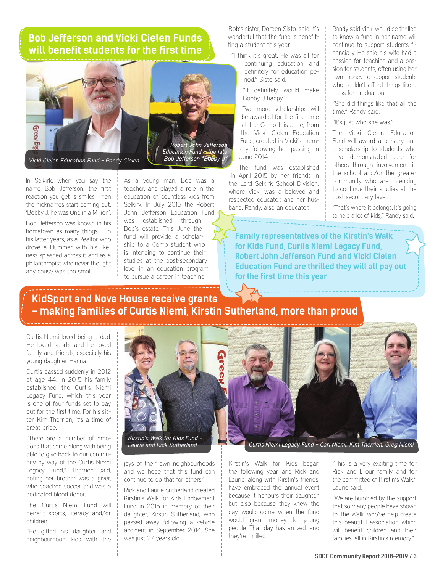### **Bob Jefferson and Vicki Cielen Funds will benefit students for the first time**



*Vicki Cielen Education Fund – Randy Cielen*



In Selkirk, when you say the name Bob Jefferson, the first reaction you get is smiles. Then the nicknames start coming out, 'Bobby J, he was One in a Million'.

Bob Jefferson was known in his hometown as many things – in his latter years, as a Realtor who drove a Hummer with his likeness splashed across it and as a philanthropist who never thought any cause was too small.

As a young man, Bob was a teacher, and played a role in the education of countless kids from Selkirk. In July 2015 the Robert John Jefferson Education Fund was established through Bob's estate. This June the fund will provide a scholarship to a Comp student who is intending to continue their studies at the post-secondary level in an education program to pursue a career in teaching.

Bob's sister, Doreen Sisto, said it's wonderful that the fund is benefitting a student this year.

"I think it's great. He was all for continuing education and definitely for education period," Sisto said.

> "It definitely would make Bobby J happy."

Two more scholarships will be awarded for the first time at the Comp this June, from the Vicki Cielen Education Fund, created in Vicki's memory following her passing in June 2014.

The fund was established in April 2015 by her friends in the Lord Selkirk School Division, where Vicki was a beloved and respected educator, and her husband, Randy, also an educator.

Randy said Vicki would be thrilled to know a fund in her name will continue to support students financially. He said his wife had a passion for teaching and a passion for students, often using her own money to support students who couldn't afford things like a dress for graduation.

"She did things like that all the time," Randy said.

"It's just who she was."

The Vicki Cielen Education Fund will award a bursary and a scholarship to students who have demonstrated care for others through involvement in the school and/or the greater community who are intending to continue their studies at the post secondary level.

"That's where it belongs. It's going to help a lot of kids," Randy said.

**Family representatives of the Kirstin's Walk for Kids Fund, Curtis Niemi Legacy Fund, Robert John Jefferson Fund and Vicki Cielen Education Fund are thrilled they will all pay out for the first time this year**

### **KidSport and Nova House receive grants - making families of Curtis Niemi, Kirstin Sutherland, more than proud**

Curtis Niemi loved being a dad. He loved sports and he loved family and friends, especially his young daughter Hannah.

Curtis passed suddenly in 2012 at age 44; in 2015 his family established the Curtis Niemi Legacy Fund, which this year is one of four funds set to pay out for the first time. For his sister, Kim Therrien, it's a time of great pride.

"There are a number of emotions that come along with being able to give back to our community by way of the Curtis Niemi Legacy Fund," Therrien said, noting her brother was a giver, who coached soccer and was a dedicated blood donor.

The Curtis Niemi Fund will benefit sports, literacy and/or children.

"He gifted his daughter and neighbourhood kids with the



*Kirstin's Walk for Kids Fund –* 

joys of their own neighbourhoods and we hope that this fund can continue to do that for others."

Rick and Laurie Sutherland created Kirstin's Walk for Kids Endowment Fund in 2015 in memory of their daughter, Kirstin Sutherland, who passed away following a vehicle accident in September 2014. She was just 27 years old.



*Laurie and Rick Sutherland Curtis Niemi Legacy Fund – Carl Niemi, Kim Therrien, Greg Niemi*

Kirstin's Walk for Kids began the following year and Rick and Laurie, along with Kirstin's friends, have embraced the annual event because it honours their daughter, but also because they knew the day would come when the fund would grant money to young people. That day has arrived, and they're thrilled.

"This is a very exciting time for Rick and I, our family and for the committee of Kirstin's Walk," Laurie said.

"We are humbled by the support that so many people have shown to The Walk, who've help create this beautiful association which will benefit children and their families, all in Kirstin's memory."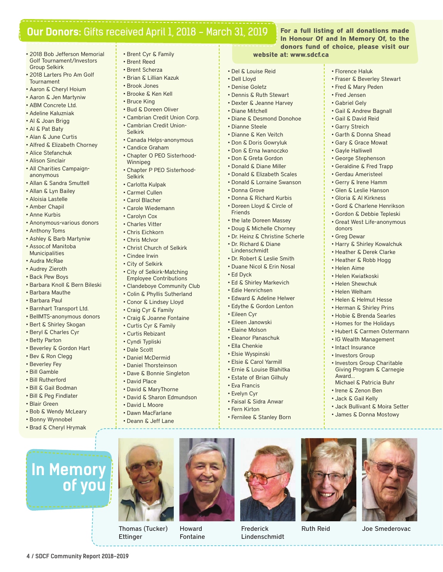### **Our Donors:** Gifts received April 1, 2018 - March 31, 2019

- 2018 Bob Jefferson Memorial Golf Tournament/Investors Group Selkirk
- 2018 Larters Pro Am Golf Tournament
- Aaron & Cheryl Hoium
- • Aaron & Jen Martyniw
- ABM Concrete Ltd.
- • Adeline Kaluzniak
- • Al & Joan Brigg
- • Al & Pat Baty
- • Alan & June Curtis
- • Alfred & Elizabeth Chorney
- Alice Stefanchuk
- Alison Sinclair
- All Charities Campaignanonymous
- • Allan & Sandra Smuttell
- • Allan & Lyn Bailey
- • Aloisia Lastelle
- • Amber Chapil
- • Anne Kurbis
- • Anonymous-various donors
- • Anthony Toms
- Ashley & Barb Martyniw
- • Assoc.of Manitoba Municipalities
- • Audra McRae
- Audrey Zieroth
- • Back Pew Boys
- • Barbara Knoll & Bern Bileski
- • Barbara Mauthe • Barbara Paul
- 
- • Barnhart Transport Ltd.
- • BellMTS-anonymous donors
- Bert & Shirley Skogan • Beryl & Charles Cyr
- • Betty Parton
- 
- Beverley & Gordon Hart • Bev & Ron Clegg
- Beverley Fey
- 
- • Bill Gamble • Bill Rutherford
- • Bill & Gail Bodman
- • Bill & Peg Findlater
- • Blair Green
- 
- • Bob & Wendy McLeary
- Bonny Wynnobel
- • Brad & Cheryl Hrymak

**In Memory** 

**of you** 

**4 / SDCF Community Report 2018-2019**

- Brent Cyr & Family
- • Brent Reed
- • Brent Scherza • Brian & Lillian Kazuk
- 
- • Brook Jones • Brooke & Ken Kell
- Bruce King
- • Bud & Doreen Oliver
- • Cambrian Credit Union Corp.
- • Cambrian Credit Union-
- Selkirk
- Canada Helps-anonymous
- • Candice Graham
- • Chapter O PEO Sisterhood-Winnipeg
- Chapter P PEO Sisterhood-Selkirk
- • Carlotta Kulpak
- • Carmel Cullen
- • Carol Blacher
- • Carole Wiedemann
- • Carolyn Cox
- • Charles Vitter
- • Chris Eichkorn
- • Chris McIvor
- • Christ Church of Selkirk
- • Cindee Irwin
- • City of Selkirk
- • City of Selkirk-Matching
- Employee Contributions • Clandeboye Community Club
- • Colin & Phyllis Sutherland
- Conor & Lindsey Lloyd
- 
- • Craig Cyr & Family
- • Craig & Joanne Fontaine
- • Curtis Cyr & Family
- • Curtis Rebizant
- • Cyndi Typliski
- • Dale Scott
- • Daniel McDermid
- • Daniel Thorsteinson
- Dave & Bonnie Singleton • David Place
- 
- David & MaryThorne
- David & Sharon Edmundson • David L Moore
- • Dawn MacFarlane
- 
- • Deann & Jeff Lane

Thomas (Tucker)

Howard Fontaine

Ettinger

**For a full listing of all donations made In Honour Of and In Memory Of, to the donors fund of choice, please visit our** 

• Florence Haluk

donors • Greg Dewar 

• Helen Aime • Helen Kwiatkoski • Helen Shewchuk • Helen Welham • Helen & Helmut Hesse • Herman & Shirley Prins • Hobie & Brenda Searles • Homes for the Holidays • Hubert & Carmen Ostermann • IG Wealth Management • Intact Insurance • Investors Group

Award…

• Harry & Shirley Kowalchuk • Heather & Derek Clarke • Heather & Robb Hogg

• Investors Group Charitable Giving Program & Carnegie

Michael & Patricia Buhr • Irene & Zenon Ben • Jack & Gail Kelly

Ruth Reid Joe Smederovac

• Jack Bullivant & Moira Setter • James & Donna Mostowy

• Fraser & Beverley Stewart • Fred & Mary Peden • Fred Jensen • Gabriel Gely

• Gail & Andrew Bagnall • Gail & David Reid • Garry Streich • Garth & Donna Shead • Gary & Grace Mowat • Gayle Halliwell • George Stephenson • Geraldine & Fred Trapp • Gerdau Ameristeel • Gerry & Irene Hamm • Glen & Leslie Hanson • Gloria & Al Kirkness • Gord & Charlene Henrikson • Gordon & Debbie Tepleski • Great West Life-anonymous

#### **website at: www.sdcf.ca**

- • Del & Louise Reid
- • Dell Lloyd
- • Denise Goletz
- • Dennis & Ruth Stewart
- Dexter & Jeanne Harvey

• Don & Doris Gowryluk • Don & Erna Iwanoczko • Don & Greta Gordon • Donald & Diane Miller • Donald & Elizabeth Scales • Donald & Lorraine Swanson

• Donna & Richard Kurbis • Doreen Lloyd & Circle of

• the late Doreen Massey • Doug & Michelle Chorney • Dr. Heinz & Christine Scherle • Dr. Richard & Diane Lindenschmidt • Dr. Robert & Leslie Smith • Duane Nicol & Erin Nosal

• Ed & Shirley Markevich • Edie Henrichsen • Edward & Adeline Helwer • Edythe & Gordon Lenton

- • Diane Mitchell
- Diane & Desmond Donohoe
- • Dianne Steele • Dianne & Ken Veitch

• Donna Grove

Friends 

• Ed Dyck

• Eileen Cyr • Eileen Janowski • Elaine Molson • Eleanor Panaschuk • Ella Chenkie • Elsie Wyspinski • Elsie & Carol Yarmill • Ernie & Louise Blahitka • Estate of Brian Gilhuly

• Eva Francis • Evelyn Cyr

• Faisal & Sidra Anwar • Fern Kirton

> Frederick Lindenschmidt

• Fernilee & Stanley Born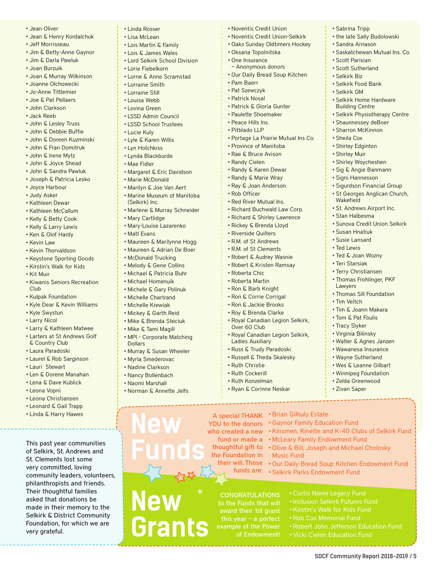- • Jean Oliver
- • Jean & Henry Kordalchuk
- Jeff Morrisseau
- Jim & Betty-Anne Gaynor
- • Jim & Darla Pawluk
- • Joan Burzuik
- Joan & Murray Wilkinson
- • Joanne Olchowecki
- • Jo-Anne Tittlemier
- • Joe & Pat Pellaers • John Clarkson
- • Jack Reeb
- • John & Lesley Truss
- • John & Debbie Buffie
- • John & Doreen Kuzminski
- • John & Fran Domitruk
- • John & Irene Mytz
- • John & Joyce Shead
- • John & Sandra Pawluk
- • Joseph & Patricia Lesko
- • Joyce Harbour
- • Judy Asker
- • Kathleen Dewar
- • Kathleen McCallum
- • Kelly & Betty Cook
- • Kelly & Larry Lewis
- • Ken & Olof Hardy
- Kevin Law
- Kevin Thorvaldson
- • Keystone Sporting Goods
- • Kirstin's Walk for Kids
- • Kit Muir
- • Kiwanis Seniors Recreation Club
- • Kulpak Foundation
- • Kyle Dear & Kevin Williams
- • Kyle Swystun
- • Larry Nicol
- • Larry & Kathleen Matwee
- • Larters at St Andrews Golf & Country Club
- Laura Paradoski
- Laurel & Rob Sarginson
- • Lauri Stewart
- • Len & Dorene Manahan
- • Lena & Dave Kublick
- • Leona Vopni
- • Leona Christiansen
- • Leonard & Gail Trapp
- • Linda & Harry Hawes

This past year communities of Selkirk, St. Andrews and St. Clements lost some very committed, loving community leaders, volunteers, philanthropists and friends. Their thoughtful families asked that donations be made in their memory to the Selkirk & District Community Foundation, for which we are very grateful.

- • Linda Rosser
- • Lisa McLean
- • Lois Martin & Family
- • Lois & James Wales
- • Lord Selkirk School Division
- • Lorie Fiebelkorn
- • Lorne & Anne Scramstad
- • Lorraine Smith
- • Lorraine Still
- • Louisa Webb
- • Lovina Green
- • LSSD Admin Council
- • LSSD School Trustees
- • Lucie Kuly
- • Lyle & Karen Willis
- • Lyn Hotchkiss
- • Lynda Blackburde
- • Mae Fidler
- • Margaret & Eric Davidson
- • Marie McDonald
- • Marilyn & Joe Van Aert
- • Marine Museum of Manitoba (Selkirk) Inc.
- • Marlene & Murray Schneider
- • Mary Cartlidge
- • Mary-Louise Lazarenko
- • Matt Evans
- Maureen & Marilynne Hogg
- • Maureen & Adrian De Boer
- • McDonald Trucking
- • Melody & Gene Collins
- • Michael & Patricia Buhr
- • Michael Homenuik
- • Michele & Gary Polinuk
- • Michelle Chartrand
- • Michelle Krewiak
- • Mickey & Garth Reid
- • Mike & Brenda Steciuk
- • Mike & Tami Magill
- • MPI Corporate Matching
- Dollars
- Murray & Susan Wheeler • Myrla Smederovac
- • Nadine Clarkson
- • Nancy Bollenbach
- • Naomi Marshall
- • Norman & Annette Jelfs

**New** 

**New** 

**Funds**

**Grants**

- • Noventis Credit Union
- • Noventis Credit Union-Selkirk

• Sabrina Tripp

• Scott Parisian • Scott Sutherland • Selkirk Biz • Selkirk Food Bank • Selkirk GM 

Wakefield 

• Susan Hnatiuk • Susie Lansard • Ted Lewis • Ted & Joan Wozny • Teri Starsiak • Terry Christiansen • Thomas Frohlinger, PKF

Lawyers 

• Tim Veitch

• St. Andrews Airport Inc. • Stan Halbesma

• Thomas Sill Foundation

• Tim & Joann Makara • Tom & Pat Foulis • Tracy Slyker • Virginia Bilinsky • Walter & Agnes Janzen • Wawanesa Insurance • Wayne Sutherland • Wes & Leanne Gilbart • Winnipeg Foundation • Zelda Greenwood • Zivan Saper

• Sunova Credit Union Selkirk

• the late Sally Budolowski • Sandra Arnason

• Selkirk Home Hardware Building Centre 

• Selkirk Physiotherapy Centre • Shaunnessey deBoer • Sharron McKinnon • Sheila Cox • Shirley Edginton • Shirley Muir • Shirley Woycheshen • Sig & Angie Banmann • Signi Hannesson • Sigurdson Financial Group • St Georges Anglican Church,

• Saskatchewan Mutual Ins. Co. 

- • Oaks Sunday Oldtimers Hockey
- • Oksana Topolnitska
- • One Insurance
- Anonymous donors

• Pat Szewczyk • Patrick Nosal • Patrick & Gloria Gunter • Paulette Shoemaker • Peace Hills Ins. • Pitblado LLP 

• Our Daily Bread Soup Kitchen • Pam Baerr

• Portage La Prairie Mutual Ins Co. 

• Province of Manitoba • Rae & Bruce Avison • Randy Cielen • Randy & Karen Dewar • Randy & Marie Wray • Ray & Joan Anderson

• Rob Officer • Red River Mutual Ins. • Richard Buchwald Law Corp. • Richard & Shirley Lawrence • Rickey & Brenda Lloyd • Riverside Quilters • R.M. of St Andrews • R.M. of St Clements • Robert & Audrey Wasnie • Robert & Kristen Ramsay

• Roberta Chic • Roberta Martin • Ron & Barb Knight • Ron & Corrie Corrigal • Ron & Jackie Brooks • Roy & Brenda Clarke

Over 60 Club 

• Ruth Christie • Ruth Cockerill • Ruth Konzelman • Ryan & Corinne Neskar

the Foundation in

funds are:

**CONGRATULATIONS** to the Funds that will

of Endowment!

Ladies Auxiliary • Russ & Trudy Paradoski • Russell & Theda Skalesky

• Royal Canadian Legion Selkirk,

• Royal Canadian Legion Selkirk,

A special THANK • Brian Gilhuly Estate

YOU to the donors . Gaynor Family Education Fund

fund or made a • McLeary Family Endowment Fund thoughtful gift to • Olive & Bill, Joseph and Michael Cholosky

Music Fund

who created a new • Kinsmen, Kinette and K-40 Clubs of Selkirk Fund

their will. Those • Our Daily Bread Soup Kitchen Endowment Fund

• Selkirk Parks Endowment Fund

**SDCF Community Report 2018-2019 / 5**

• Curtis Niemi Legacy Fund

• Vicki Cielen Education Fund

• Robert John Jefferson Education Fund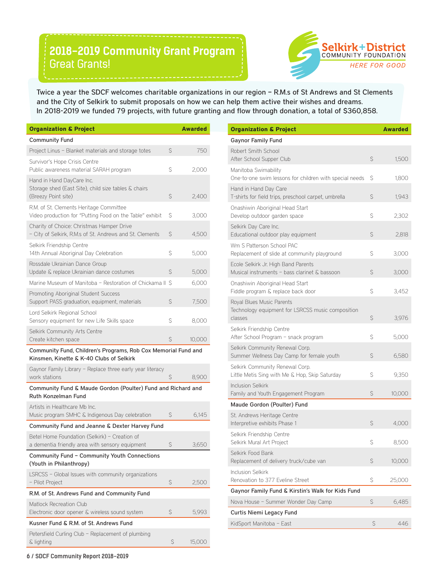## **2018-2019 Community Grant Program**  Great Grants!



Twice a year the SDCF welcomes charitable organizations in our region – R.M.s of St Andrews and St Clements and the City of Selkirk to submit proposals on how we can help them active their wishes and dreams. In 2018-2019 we funded 79 projects, with future granting and flow through donation, a total of \$360,858.

| <b>Organization &amp; Project</b>                                                                          |              | <b>Awarded</b> |
|------------------------------------------------------------------------------------------------------------|--------------|----------------|
| <b>Community Fund</b>                                                                                      |              |                |
| Project Linus - Blanket materials and storage totes                                                        | $\mathsf{S}$ | 750            |
| Survivor's Hope Crisis Centre<br>Public awareness material SARAH program                                   | S            | 2,000          |
| Hand in Hand DayCare Inc.<br>Storage shed (East Site), child size tables & chairs<br>(Breezy Point site)   | S            | 2,400          |
| R.M. of St. Clements Heritage Committee<br>Video production for "Putting Food on the Table" exhibit        | S            | 3,000          |
| Charity of Choice: Christmas Hamper Drive<br>- City of Selkirk, R.M.s of St. Andrews and St. Clements      | S            | 4,500          |
| Selkirk Friendship Centre<br>14th Annual Aboriginal Day Celebration                                        | S            | 5,000          |
| Rossdale Ukrainian Dance Group<br>Update & replace Ukrainian dance costumes                                | S            | 5,000          |
| Marine Museum of Manitoba - Restoration of Chickama II S                                                   |              | 6,000          |
| Promoting Aboriginal Student Success<br>Support PASS graduation, equipment, materials                      | $\mathsf{S}$ | 7,500          |
| Lord Selkirk Regional School<br>Sensory equipment for new Life Skills space                                | Ś            | 8,000          |
| Selkirk Community Arts Centre                                                                              |              |                |
| Create kitchen space                                                                                       | S            | 10,000         |
| Community Fund, Children's Programs, Rob Cox Memorial Fund and<br>Kinsmen, Kinette & K-40 Clubs of Selkirk |              |                |
| Gaynor Family Library - Replace three early year literacy<br>work stations                                 | S            | 8,900          |
| Community Fund & Maude Gordon (Poulter) Fund and Richard and<br>Ruth Konzelman Fund                        |              |                |
| Artists in Healthcare Mb Inc.<br>Music program SMHC & Indigenous Day celebration                           | S            | 6,145          |
| Community Fund and Jeanne & Dexter Harvey Fund                                                             |              |                |
| Betel Home Foundation (Selkirk) - Creation of<br>a dementia friendly area with sensory equipment           | \$           | 3,650          |
| Community Fund - Community Youth Connections<br>(Youth in Philanthropy)                                    |              |                |
| LSRCSS - Global Issues with community organizations<br>- Pilot Project                                     | S            | 2,500          |
| R.M. of St. Andrews Fund and Community Fund                                                                |              |                |
| <b>Matlock Recreation Club</b><br>Electronic door opener & wireless sound system                           | S            | 5,993          |
| Kusner Fund & R.M. of St. Andrews Fund                                                                     |              |                |

| <b>Organization &amp; Project</b>                                                         |    | <b>Awarded</b> |
|-------------------------------------------------------------------------------------------|----|----------------|
| <b>Gaynor Family Fund</b>                                                                 |    |                |
| Robert Smith School<br>After School Supper Club                                           | S  | 1,500          |
| Manitoba Swimability<br>One-to-one swim lessons for children with special needs           | S  | 1,800          |
| Hand in Hand Day Care<br>T-shirts for field trips, preschool carpet, umbrella             | \$ | 1,943          |
| Onashiwin Aboriginal Head Start<br>Develop outdoor garden space                           | \$ | 2,302          |
| Selkirk Day Care Inc.<br>Educational outdoor play equipment                               | \$ | 2,818          |
| Wm S Patterson School PAC<br>Replacement of slide at community playground                 | S  | 3,000          |
| Ecole Selkirk Jr. High Band Parents<br>Musical instruments - bass clarinet & bassoon      | \$ | 3,000          |
| Onashiwin Aboriginal Head Start<br>Fiddle program & replace back door                     | S  | 3,452          |
| Royal Blues Music Parents<br>Technology equipment for LSRCSS music composition<br>classes | \$ | 3,976          |
| Selkirk Friendship Centre<br>After School Program - snack program                         | S  | 5,000          |
| Selkirk Community Renewal Corp.<br>Summer Wellness Day Camp for female youth              | \$ | 6,580          |
| Selkirk Community Renewal Corp.<br>Little Metis Sing with Me & Hop, Skip Saturday         | Ś  | 9,350          |
| <b>Inclusion Selkirk</b><br>Family and Youth Engagement Program                           | \$ | 10,000         |
| Maude Gordon (Poulter) Fund                                                               |    |                |
| St. Andrews Heritage Centre<br>Interpretive exhibits Phase 1                              | S  | 4,000          |
| Selkirk Friendship Centre<br>Selkirk Mural Art Project                                    | S  | 8,500          |
| Selkirk Food Bank<br>Replacement of delivery truck/cube van                               | \$ | 10,000         |
| Inclusion Selkirk<br>Renovation to 377 Eveline Street                                     | \$ | 25,000         |
| Gaynor Family Fund & Kirstin's Walk for Kids Fund                                         |    |                |
| Nova House - Summer Wonder Day Camp                                                       | \$ | 6,485          |
| Curtis Niemi Legacy Fund                                                                  |    |                |
| KidSport Manitoba - East                                                                  | S  | 446            |

**6 / SDCF Community Report 2018-2019**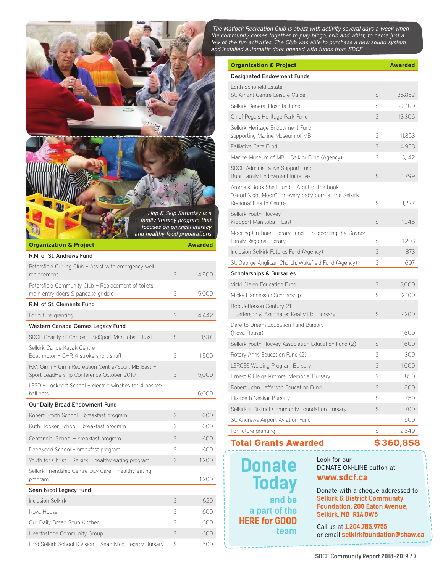*The Matlock Recreation Club is abuzz with activity several days a week when the community comes together to play bingo, crib and whist, to name just a*  few of the fun activities. The Club was able to purchase a new sound system *and installed automatic door opened with funds from SDCF*

|                                                                                                                               |              | \$360,858      |
|-------------------------------------------------------------------------------------------------------------------------------|--------------|----------------|
| For future granting                                                                                                           | $\mathsf{S}$ | 2,549          |
| St. Andrews Airport Aviation Fund                                                                                             |              | 500            |
| Selkirk & District Community Foundation Bursary                                                                               | S            | 700            |
| Elizabeth Neskar Bursary                                                                                                      | S            | 750            |
| Robert John Jefferson Education Fund                                                                                          | \$           | 800            |
| Ernest & Helga Kromrei Memorial Bursary                                                                                       | Ś            | 850            |
| <b>LSRCSS Welding Program Bursary</b>                                                                                         | S            | 1,000          |
| Rotary Anns Education Fund (2)                                                                                                | S            | 1,300          |
| (Nova House)<br>Selkirk Youth Hockey Association Education Fund (2)                                                           | Ŝ            | 1,600<br>1,600 |
| - Jefferson & Associates Realty Ltd. Bursary<br>Dare to Dream Education Fund Bursary                                          | $\mathsf{S}$ | 2,200          |
| Bob Jefferson Century 21                                                                                                      |              |                |
| Micky Hannesson Scholarship                                                                                                   | $\mathsf{S}$ | 2,100          |
| Vicki Cielen Education Fund                                                                                                   | $\mathsf{S}$ | 3,000          |
| <b>Scholarships &amp; Bursaries</b>                                                                                           |              |                |
| Inclusion Selkirk Futures Fund (Agency)<br>St. George Anglican Church, Wakefield Fund (Agency)                                | S            | 697            |
| Mooring-Griffioen Library Fund - Supporting the Gaynor<br>Family Regional Library                                             | S<br>\$      | 1.203<br>873   |
| Selkirk Youth Hockey<br>KidSport Manitoba - East                                                                              | $\mathsf{S}$ | 1,346          |
| Amma's Book Shelf Fund - A gift of the book<br>"Good Night Moon" for every baby born at the Selkirk<br>Regional Health Centre | S            | 1,227          |
| SDCF Administrative Support Fund<br>Buhr Family Endowment Initiative                                                          | $\mathsf{S}$ | 1,799          |
| Marine Museum of MB - Selkirk Fund (Agency)                                                                                   | S            | 3,142          |
| Palliative Care Fund                                                                                                          | S            | 4,958          |
| Selkirk Heritage Endowment Fund<br>supporting Marine Museum of MB                                                             | Ś            | 11,853         |
| Chief Peguis Heritage Park Fund                                                                                               | S            | 13,306         |
| Selkirk General Hospital Fund                                                                                                 | S            | 23,100         |
| <b>Edith Schofield Estate</b><br>St. Amant Centre Leisure Guide                                                               | S            | 36,852         |
| <b>Designated Endowment Funds</b>                                                                                             |              |                |

**Donate Today and be a part of the HERE for GOOD team**

Look for our DONATE ON-LINE button at **www.sdcf.ca**

Donate with a cheque addressed to **Selkirk & District Community Foundation, 200 Eaton Avenue, Selkirk, MB R1A 0W6**

Call us at **1.204.785.9755** or email **selkirkfoundation@shaw.ca** 



ball nets 6,000 Our Daily Bread Endowment Fund Robert Smith School – breakfast program  $\sim$  \$ 600 Ruth Hooker School – breakfast program  $$$  600 Centennial School – breakfast program \$ 600 Daerwood School – breakfast program  $\sim$  \$ 600 Youth for Christ - Selkirk - healthy eating program \$ 1,200 Selkirk Friendship Centre Day Care – healthy eating program 1,200 Sean Nicol Legacy Fund Inclusion Selkirk **\$ 620** Nova House 600 Our Daily Bread Soup Kitchen **\$** 600 Hearthstone Community Group **\$** 600 Lord Selkirk School Division - Sean Nicol Legacy Bursary \$ 500